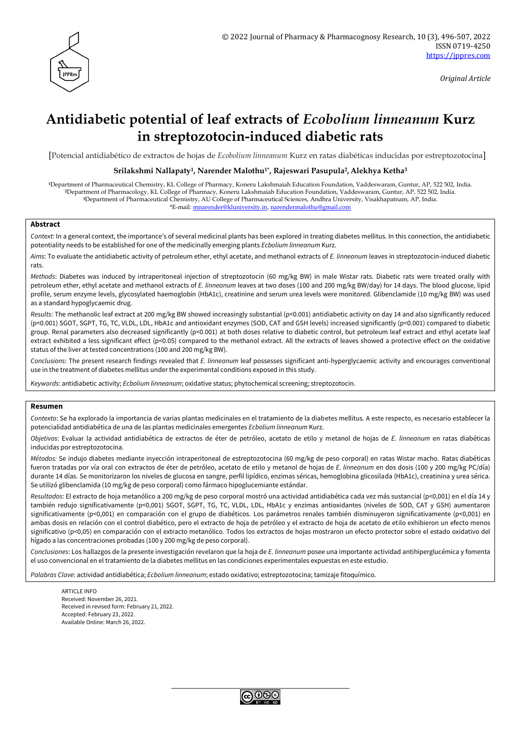

*Original Article*

# **Antidiabetic potential of leaf extracts of** *Ecobolium linneanum* **Kurz in streptozotocin-induced diabetic rats**

[Potencial antidiabético de extractos de hojas de *Ecobolium linneanum* Kurz en ratas diabéticas inducidas por estreptozotocina]

#### **Srilakshmi Nallapaty1, Narender Malothu1\*, Rajeswari Pasupula2, Alekhya Ketha<sup>3</sup>**

Department of Pharmaceutical Chemistry, KL College of Pharmacy, Koneru Lakshmaiah Education Foundation, Vaddeswaram, Guntur, AP, 522 502, India. Department of Pharmacology, KL College of Pharmacy, Koneru Lakshmaiah Education Foundation, Vaddeswaram, Guntur, AP, 522 502, India. Department of Pharmaceutical Chemistry, AU College of Pharmaceutical Sciences, Andhra University, Visakhapatnam, AP, India. \*E-mail: [mnarender@kluniversity.in,](mailto:mnarender@kluniversity.in) [narendermalothu@gmail.com](mailto:narendermalothu@gmail.com)

## **Abstract**

*Context*: In a general context, the importance's of several medicinal plants has been explored in treating diabetes mellitus. In this connection, the antidiabetic potentiality needs to be established for one of the medicinally emerging plants *Ecbolium linneanum* Kurz.

*Aims*: To evaluate the antidiabetic activity of petroleum ether, ethyl acetate, and methanol extracts of *E. linneanum* leaves in streptozotocin-induced diabetic rats.

*Methods*: Diabetes was induced by intraperitoneal injection of streptozotocin (60 mg/kg BW) in male Wistar rats. Diabetic rats were treated orally with petroleum ether, ethyl acetate and methanol extracts of *E. linneanum* leaves at two doses (100 and 200 mg/kg BW/day) for 14 days. The blood glucose, lipid profile, serum enzyme levels, glycosylated haemoglobin (HbA1c), creatinine and serum urea levels were monitored. Glibenclamide (10 mg/kg BW) was used as a standard hypoglycaemic drug.

*Results*: The methanolic leaf extract at 200 mg/kg BW showed increasingly substantial (p<0.001) antidiabetic activity on day 14 and also significantly reduced (p<0.001) SGOT, SGPT, TG, TC, VLDL, LDL, HbA1c and antioxidant enzymes (SOD, CAT and GSH levels) increased significantly (p<0.001) compared to diabetic group. Renal parameters also decreased significantly (p<0.001) at both doses relative to diabetic control, but petroleum leaf extract and ethyl acetate leaf extract exhibited a less significant effect (p<0.05) compared to the methanol extract. All the extracts of leaves showed a protective effect on the oxidative status of the liver at tested concentrations (100 and 200 mg/kg BW).

*Conclusions*: The present research findings revealed that *E. linneanum* leaf possesses significant anti-hyperglycaemic activity and encourages conventional use in the treatment of diabetes mellitus under the experimental conditions exposed in this study.

*Keywords*: antidiabetic activity; *Ecbolium linneanum*; oxidative status; phytochemical screening; streptozotocin.

#### **Resumen**

*Contexto*: Se ha explorado la importancia de varias plantas medicinales en el tratamiento de la diabetes mellitus. A este respecto, es necesario establecer la potencialidad antidiabética de una de las plantas medicinales emergentes *Ecbolium linneanum* Kurz.

*Objetivos*: Evaluar la actividad antidiabética de extractos de éter de petróleo, acetato de etilo y metanol de hojas de *E. linneanum* en ratas diabéticas inducidas por estreptozotocina.

*Métodos:* Se indujo diabetes mediante inyección intraperitoneal de estreptozotocina (60 mg/kg de peso corporal) en ratas Wistar macho. Ratas diabéticas fueron tratadas por vía oral con extractos de éter de petróleo, acetato de etilo y metanol de hojas de *E. linneanum* en dos dosis (100 y 200 mg/kg PC/día) durante 14 días. Se monitorizaron los niveles de glucosa en sangre, perfil lipídico, enzimas séricas, hemoglobina glicosilada (HbA1c), creatinina y urea sérica. Se utilizó glibenclamida (10 mg/kg de peso corporal) como fármaco hipoglucemiante estándar.

*Resultados*: El extracto de hoja metanólico a 200 mg/kg de peso corporal mostró una actividad antidiabética cada vez más sustancial (p<0,001) en el día 14 y también redujo significativamente (p<0,001) SGOT, SGPT, TG, TC, VLDL, LDL, HbA1c y enzimas antioxidantes (niveles de SOD, CAT y GSH) aumentaron significativamente (p<0,001) en comparación con el grupo de diabéticos. Los parámetros renales también disminuyeron significativamente (p<0,001) en ambas dosis en relación con el control diabético, pero el extracto de hoja de petróleo y el extracto de hoja de acetato de etilo exhibieron un efecto menos significativo (p<0,05) en comparación con el extracto metanólico. Todos los extractos de hojas mostraron un efecto protector sobre el estado oxidativo del hígado a las concentraciones probadas (100 y 200 mg/kg de peso corporal).

*Conclusiones*: Los hallazgos de la presente investigación revelaron que la hoja de *E. linneanum* posee una importante actividad antihiperglucémica y fomenta el uso convencional en el tratamiento de la diabetes mellitus en las condiciones experimentales expuestas en este estudio.

*Palabras Clave*: actividad antidiabética; *Ecbolium linneanum*; estado oxidativo; estreptozotocina; tamizaje fitoquímico.

ARTICLE INFO Received: November 26, 2021. Received in revised form: February 21, 2022. Accepted: February 23, 2022. Available Online: March 26, 2022.

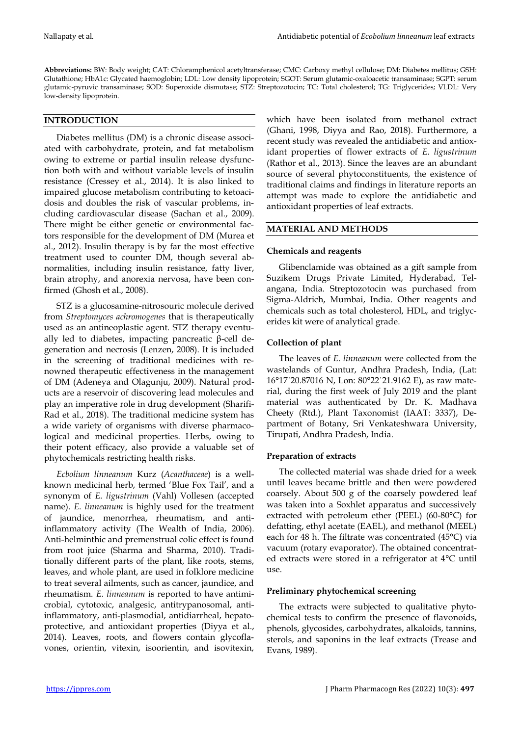**Abbreviations:** BW: Body weight; CAT: Chloramphenicol acetyltransferase; CMC: Carboxy methyl cellulose; DM: Diabetes mellitus; GSH: Glutathione; HbA1c: Glycated haemoglobin; LDL: Low density lipoprotein; SGOT: Serum glutamic-oxaloacetic transaminase; SGPT: serum glutamic-pyruvic transaminase; SOD: Superoxide dismutase; STZ: Streptozotocin; TC: Total cholesterol; TG: Triglycerides; VLDL: Very low-density lipoprotein.

# **INTRODUCTION**

Diabetes mellitus (DM) is a chronic disease associated with carbohydrate, protein, and fat metabolism owing to extreme or partial insulin release dysfunction both with and without variable levels of insulin resistance (Cressey et al., 2014). It is also linked to impaired glucose metabolism contributing to ketoacidosis and doubles the risk of vascular problems, including cardiovascular disease (Sachan et al., 2009). There might be either genetic or environmental factors responsible for the development of DM (Murea et al., 2012). Insulin therapy is by far the most effective treatment used to counter DM, though several abnormalities, including insulin resistance, fatty liver, brain atrophy, and anorexia nervosa, have been confirmed (Ghosh et al., 2008).

STZ is a glucosamine-nitrosouric molecule derived from *Streptomyces achromogenes* that is therapeutically used as an antineoplastic agent. STZ therapy eventually led to diabetes, impacting pancreatic β-cell degeneration and necrosis (Lenzen, 2008). It is included in the screening of traditional medicines with renowned therapeutic effectiveness in the management of DM (Adeneya and Olagunju, 2009). Natural products are a reservoir of discovering lead molecules and play an imperative role in drug development (Sharifi-Rad et al., 2018). The traditional medicine system has a wide variety of organisms with diverse pharmacological and medicinal properties. Herbs, owing to their potent efficacy, also provide a valuable set of phytochemicals restricting health risks.

*Ecbolium linneanum* Kurz (*Acanthaceae*) is a wellknown medicinal herb, termed 'Blue Fox Tail', and a synonym of *E. ligustrinum* (Vahl) Vollesen (accepted name). *E. linneanum* is highly used for the treatment of jaundice, menorrhea, rheumatism, and antiinflammatory activity (The Wealth of India, 2006). Anti-helminthic and premenstrual colic effect is found from root juice (Sharma and Sharma, 2010). Traditionally different parts of the plant, like roots, stems, leaves, and whole plant, are used in folklore medicine to treat several ailments, such as cancer, jaundice, and rheumatism. *E. linneanum* is reported to have antimicrobial, cytotoxic, analgesic, antitrypanosomal, antiinflammatory, anti-plasmodial, antidiarrheal, hepatoprotective, and antioxidant properties (Diyya et al., 2014). Leaves, roots, and flowers contain glycoflavones, orientin, vitexin, isoorientin, and isovitexin, which have been isolated from methanol extract (Ghani, 1998, Diyya and Rao, 2018). Furthermore, a recent study was revealed the antidiabetic and antioxidant properties of flower extracts of *E. ligustrinum* (Rathor et al., 2013). Since the leaves are an abundant source of several phytoconstituents, the existence of traditional claims and findings in literature reports an attempt was made to explore the antidiabetic and antioxidant properties of leaf extracts.

## **MATERIAL AND METHODS**

## **Chemicals and reagents**

Glibenclamide was obtained as a gift sample from Suzikem Drugs Private Limited, Hyderabad, Telangana, India. Streptozotocin was purchased from Sigma-Aldrich, Mumbai, India. Other reagents and chemicals such as total cholesterol, HDL, and triglycerides kit were of analytical grade.

# **Collection of plant**

The leaves of *E. linneanum* were collected from the wastelands of Guntur, Andhra Pradesh, India, (Lat: 16°17΄20.87016 N, Lon: 80°22΄21.9162 E), as raw material, during the first week of July 2019 and the plant material was authenticated by Dr. K. Madhava Cheety (Rtd.), Plant Taxonomist (IAAT: 3337), Department of Botany, Sri Venkateshwara University, Tirupati, Andhra Pradesh, India.

#### **Preparation of extracts**

The collected material was shade dried for a week until leaves became brittle and then were powdered coarsely. About 500 g of the coarsely powdered leaf was taken into a Soxhlet apparatus and successively extracted with petroleum ether (PEEL) (60-80°C) for defatting, ethyl acetate (EAEL), and methanol (MEEL) each for 48 h. The filtrate was concentrated (45°C) via vacuum (rotary evaporator). The obtained concentrated extracts were stored in a refrigerator at 4°C until use.

## **Preliminary phytochemical screening**

The extracts were subjected to qualitative phytochemical tests to confirm the presence of flavonoids, phenols, glycosides, carbohydrates, alkaloids, tannins, sterols, and saponins in the leaf extracts (Trease and Evans, 1989).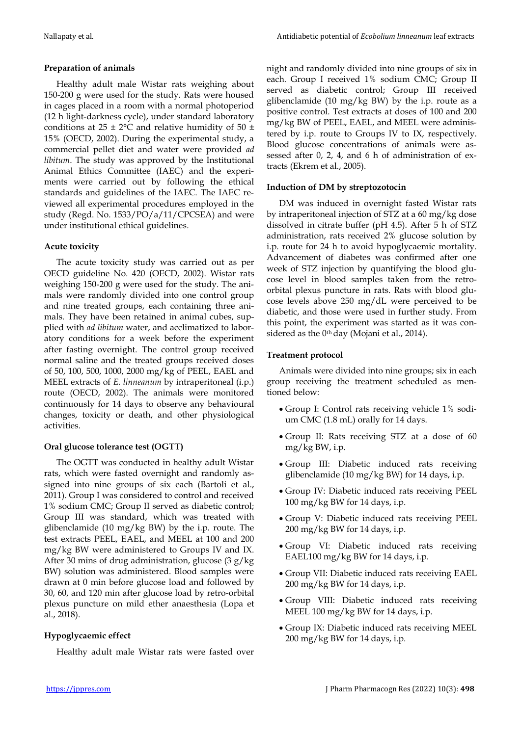# **Preparation of animals**

Healthy adult male Wistar rats weighing about 150-200 g were used for the study. Rats were housed in cages placed in a room with a normal photoperiod (12 h light-darkness cycle), under standard laboratory conditions at  $25 \pm 2$ °C and relative humidity of 50  $\pm$ 15% (OECD, 2002). During the experimental study, a commercial pellet diet and water were provided *ad libitum*. The study was approved by the Institutional Animal Ethics Committee (IAEC) and the experiments were carried out by following the ethical standards and guidelines of the IAEC. The IAEC reviewed all experimental procedures employed in the study (Regd. No. 1533/PO/a/11/CPCSEA) and were under institutional ethical guidelines.

# **Acute toxicity**

The acute toxicity study was carried out as per OECD guideline No. 420 (OECD, 2002). Wistar rats weighing 150-200 g were used for the study. The animals were randomly divided into one control group and nine treated groups, each containing three animals. They have been retained in animal cubes, supplied with *ad libitum* water, and acclimatized to laboratory conditions for a week before the experiment after fasting overnight. The control group received normal saline and the treated groups received doses of 50, 100, 500, 1000, 2000 mg/kg of PEEL, EAEL and MEEL extracts of *E. linneanum* by intraperitoneal (i.p.) route (OECD, 2002). The animals were monitored continuously for 14 days to observe any behavioural changes, toxicity or death, and other physiological activities.

# **Oral glucose tolerance test (OGTT)**

The OGTT was conducted in healthy adult Wistar rats, which were fasted overnight and randomly assigned into nine groups of six each (Bartoli et al., 2011). Group I was considered to control and received 1% sodium CMC; Group II served as diabetic control; Group III was standard, which was treated with glibenclamide (10 mg/kg BW) by the i.p. route. The test extracts PEEL, EAEL, and MEEL at 100 and 200 mg/kg BW were administered to Groups IV and IX. After 30 mins of drug administration, glucose (3 g/kg BW) solution was administered. Blood samples were drawn at 0 min before glucose load and followed by 30, 60, and 120 min after glucose load by retro-orbital plexus puncture on mild ether anaesthesia (Lopa et al., 2018).

# **Hypoglycaemic effect**

Healthy adult male Wistar rats were fasted over

night and randomly divided into nine groups of six in each. Group I received 1% sodium CMC; Group II served as diabetic control; Group III received glibenclamide (10 mg/kg BW) by the i.p. route as a positive control. Test extracts at doses of 100 and 200 mg/kg BW of PEEL, EAEL, and MEEL were administered by i.p. route to Groups IV to IX, respectively. Blood glucose concentrations of animals were assessed after 0, 2, 4, and 6 h of administration of extracts (Ekrem et al., 2005).

## **Induction of DM by streptozotocin**

DM was induced in overnight fasted Wistar rats by intraperitoneal injection of STZ at a 60 mg/kg dose dissolved in citrate buffer (pH 4.5). After 5 h of STZ administration, rats received 2% glucose solution by i.p. route for 24 h to avoid hypoglycaemic mortality. Advancement of diabetes was confirmed after one week of STZ injection by quantifying the blood glucose level in blood samples taken from the retroorbital plexus puncture in rats. Rats with blood glucose levels above 250 mg/dL were perceived to be diabetic, and those were used in further study. From this point, the experiment was started as it was considered as the 0<sup>th</sup> day (Mojani et al., 2014).

## **Treatment protocol**

Animals were divided into nine groups; six in each group receiving the treatment scheduled as mentioned below:

- Group I: Control rats receiving vehicle 1% sodium CMC (1.8 mL) orally for 14 days.
- Group II: Rats receiving STZ at a dose of 60 mg/kg BW, i.p.
- Group III: Diabetic induced rats receiving glibenclamide (10 mg/kg BW) for 14 days, i.p.
- Group IV: Diabetic induced rats receiving PEEL 100 mg/kg BW for 14 days, i.p.
- Group V: Diabetic induced rats receiving PEEL 200 mg/kg BW for 14 days, i.p.
- Group VI: Diabetic induced rats receiving EAEL100 mg/kg BW for 14 days, i.p.
- Group VII: Diabetic induced rats receiving EAEL 200 mg/kg BW for 14 days, i.p.
- Group VIII: Diabetic induced rats receiving MEEL 100 mg/kg BW for 14 days, i.p.
- Group IX: Diabetic induced rats receiving MEEL 200 mg/kg BW for 14 days, i.p.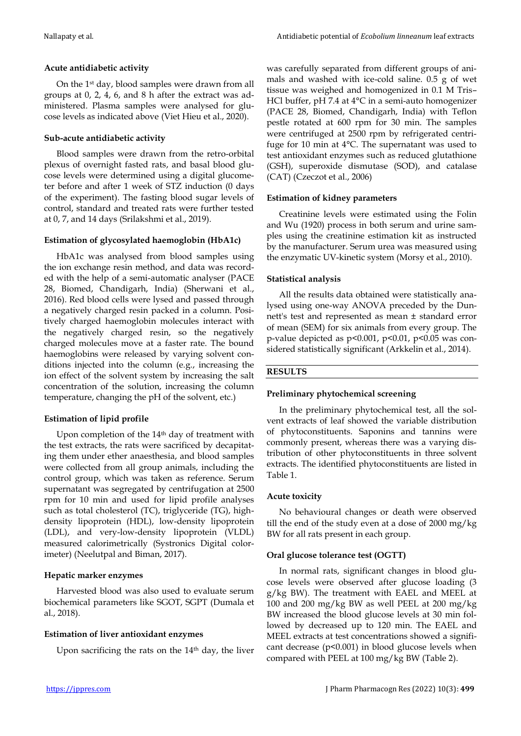## **Acute antidiabetic activity**

On the 1st day, blood samples were drawn from all groups at 0, 2, 4, 6, and 8 h after the extract was administered. Plasma samples were analysed for glucose levels as indicated above (Viet Hieu et al., 2020).

## **Sub-acute antidiabetic activity**

Blood samples were drawn from the retro-orbital plexus of overnight fasted rats, and basal blood glucose levels were determined using a digital glucometer before and after 1 week of STZ induction (0 days of the experiment). The fasting blood sugar levels of control, standard and treated rats were further tested at 0, 7, and 14 days (Srilakshmi et al., 2019).

## **Estimation of glycosylated haemoglobin (HbA1c)**

HbA1c was analysed from blood samples using the ion exchange resin method, and data was recorded with the help of a semi-automatic analyser (PACE 28, Biomed, Chandigarh, India) (Sherwani et al., 2016). Red blood cells were lysed and passed through a negatively charged resin packed in a column. Positively charged haemoglobin molecules interact with the negatively charged resin, so the negatively charged molecules move at a faster rate. The bound haemoglobins were released by varying solvent conditions injected into the column (e.g., increasing the ion effect of the solvent system by increasing the salt concentration of the solution, increasing the column temperature, changing the pH of the solvent, etc.)

# **Estimation of lipid profile**

Upon completion of the 14<sup>th</sup> day of treatment with the test extracts, the rats were sacrificed by decapitating them under ether anaesthesia, and blood samples were collected from all group animals, including the control group, which was taken as reference. Serum supernatant was segregated by centrifugation at 2500 rpm for 10 min and used for lipid profile analyses such as total cholesterol (TC), triglyceride (TG), highdensity lipoprotein (HDL), low-density lipoprotein (LDL), and very-low-density lipoprotein (VLDL) measured calorimetrically (Systronics Digital colorimeter) (Neelutpal and Biman, 2017).

#### **Hepatic marker enzymes**

Harvested blood was also used to evaluate serum biochemical parameters like SGOT, SGPT (Dumala et al., 2018).

## **Estimation of liver antioxidant enzymes**

Upon sacrificing the rats on the 14<sup>th</sup> day, the liver

was carefully separated from different groups of animals and washed with ice-cold saline. 0.5 g of wet tissue was weighed and homogenized in 0.1 M Tris– HCl buffer, pH 7.4 at 4°C in a semi-auto homogenizer (PACE 28, Biomed, Chandigarh, India) with Teflon pestle rotated at 600 rpm for 30 min. The samples were centrifuged at 2500 rpm by refrigerated centrifuge for 10 min at 4°C. The supernatant was used to test antioxidant enzymes such as reduced glutathione (GSH), superoxide dismutase (SOD), and catalase (CAT) (Czeczot et al., 2006)

### **Estimation of kidney parameters**

Creatinine levels were estimated using the Folin and Wu (1920) process in both serum and urine samples using the creatinine estimation kit as instructed by the manufacturer. Serum urea was measured using the enzymatic UV-kinetic system (Morsy et al., 2010).

## **Statistical analysis**

All the results data obtained were statistically analysed using one-way ANOVA preceded by the Dunnett's test and represented as mean ± standard error of mean (SEM) for six animals from every group. The p-value depicted as p<0.001, p<0.01, p<0.05 was considered statistically significant (Arkkelin et al., 2014).

# **RESULTS**

## **Preliminary phytochemical screening**

In the preliminary phytochemical test, all the solvent extracts of leaf showed the variable distribution of phytoconstituents. Saponins and tannins were commonly present, whereas there was a varying distribution of other phytoconstituents in three solvent extracts. The identified phytoconstituents are listed in Table 1.

#### **Acute toxicity**

No behavioural changes or death were observed till the end of the study even at a dose of 2000 mg/kg BW for all rats present in each group.

# **Oral glucose tolerance test (OGTT)**

In normal rats, significant changes in blood glucose levels were observed after glucose loading (3 g/kg BW). The treatment with EAEL and MEEL at 100 and 200 mg/kg BW as well PEEL at 200 mg/kg BW increased the blood glucose levels at 30 min followed by decreased up to 120 min. The EAEL and MEEL extracts at test concentrations showed a significant decrease  $(p<0.001)$  in blood glucose levels when compared with PEEL at 100 mg/kg BW (Table 2).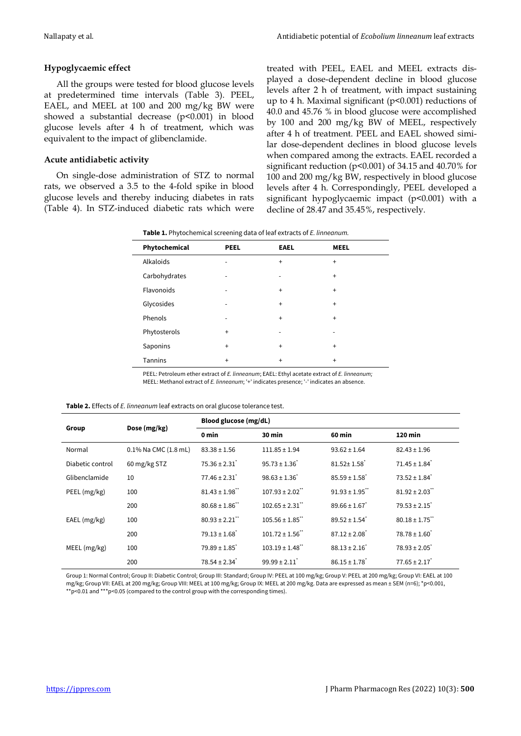# **Hypoglycaemic effect**

All the groups were tested for blood glucose levels at predetermined time intervals (Table 3). PEEL, EAEL, and MEEL at 100 and 200 mg/kg BW were showed a substantial decrease (p<0.001) in blood glucose levels after 4 h of treatment, which was equivalent to the impact of glibenclamide.

# **Acute antidiabetic activity**

On single-dose administration of STZ to normal rats, we observed a 3.5 to the 4-fold spike in blood glucose levels and thereby inducing diabetes in rats (Table 4). In STZ-induced diabetic rats which were

treated with PEEL, EAEL and MEEL extracts displayed a dose-dependent decline in blood glucose levels after 2 h of treatment, with impact sustaining up to 4 h. Maximal significant (p<0.001) reductions of 40.0 and 45.76 % in blood glucose were accomplished by 100 and 200 mg/kg BW of MEEL, respectively after 4 h of treatment. PEEL and EAEL showed similar dose-dependent declines in blood glucose levels when compared among the extracts. EAEL recorded a significant reduction (p<0.001) of 34.15 and 40.70% for 100 and 200 mg/kg BW, respectively in blood glucose levels after 4 h. Correspondingly, PEEL developed a significant hypoglycaemic impact (p<0.001) with a decline of 28.47 and 35.45%, respectively.

| Phytochemical  | <b>PEEL</b> | <b>EAEL</b>                  | <b>MEEL</b> |
|----------------|-------------|------------------------------|-------------|
| Alkaloids      | -           | $\ddot{}$                    | $\ddot{}$   |
| Carbohydrates  | -           | $\qquad \qquad \blacksquare$ | $\ddot{}$   |
| Flavonoids     | ٠           | $\ddot{}$                    | $\ddot{}$   |
| Glycosides     |             | $\ddot{}$                    | $\ddot{}$   |
| Phenols        | -           | $\ddot{}$                    | $\ddot{}$   |
| Phytosterols   | $\ddot{}$   | $\overline{\phantom{0}}$     | -           |
| Saponins       | $\ddot{}$   | $\ddot{}$                    | $\ddot{}$   |
| <b>Tannins</b> | $\ddot{}$   | $\ddot{}$                    | $\ddot{}$   |

PEEL: Petroleum ether extract of *E. linneanum*; EAEL: Ethyl acetate extract of *E. linneanum;*  MEEL: Methanol extract of *E. linneanum*; '+' indicates presence; '-' indicates an absence.

| Group            | Dose (mg/kg)         | Blood glucose (mg/dL)          |                                 |                               |                               |  |
|------------------|----------------------|--------------------------------|---------------------------------|-------------------------------|-------------------------------|--|
|                  |                      | 0 min                          | 30 min                          | 60 min                        | 120 min                       |  |
| Normal           | 0.1% Na CMC (1.8 mL) | $83.38 \pm 1.56$               | $111.85 \pm 1.94$               | $93.62 \pm 1.64$              | $82.43 \pm 1.96$              |  |
| Diabetic control | 60 mg/kg STZ         | $75.36 \pm 2.31$               | $95.73 \pm 1.36$                | $81.52 \pm 1.58$              | $71.45 \pm 1.84$ <sup>*</sup> |  |
| Glibenclamide    | 10                   | $77.46 \pm 2.31$               | $98.63 \pm 1.36'$               | $85.59 \pm 1.58$ <sup>*</sup> | $73.52 \pm 1.84$ <sup>*</sup> |  |
| PEEL (mg/kg)     | 100                  | $81.43 \pm 1.98$               | $107.93 \pm 2.02$ <sup>**</sup> | $91.93 \pm 1.95$              | $81.92 \pm 2.03$              |  |
|                  | 200                  | $80.68 \pm 1.86$ <sup>**</sup> | $102.65 \pm 2.31$               | $89.66 \pm 1.67$              | $79.53 \pm 2.15$              |  |
| $EAEL$ (mg/kg)   | 100                  | $80.93 \pm 2.21$ "             | $105.56 \pm 1.85$               | $89.52 \pm 1.54$ <sup>*</sup> | $80.18 \pm 1.75$ "            |  |
|                  | 200                  | $79.13 \pm 1.68$ <sup>*</sup>  | $101.72 \pm 1.56$               | $87.12 \pm 2.08$ <sup>*</sup> | $78.78 \pm 1.60$ <sup>*</sup> |  |
| MEEL (mg/kg)     | 100                  | $79.89 \pm 1.85$ <sup>*</sup>  | $103.19 \pm 1.48$ "             | $88.13 \pm 2.16$              | $78.93 \pm 2.05$              |  |
|                  | 200                  | $78.54 \pm 2.34$ <sup>*</sup>  | $99.99 \pm 2.11$                | $86.15 \pm 1.78$              | $77.65 \pm 2.17$              |  |

Group 1: Normal Control; Group II: Diabetic Control; Group III: Standard; Group IV: PEEL at 100 mg/kg; Group V: PEEL at 200 mg/kg; Group VI: EAEL at 100 mg/kg; Group VII: EAEL at 200 mg/kg; Group VIII: MEEL at 100 mg/kg; Group IX: MEEL at 200 mg/kg. Data are expressed as mean ± SEM (n=6); \*p<0.001, \*p<0.01 and \*\*\*p<0.05 (compared to the control group with the corresponding times).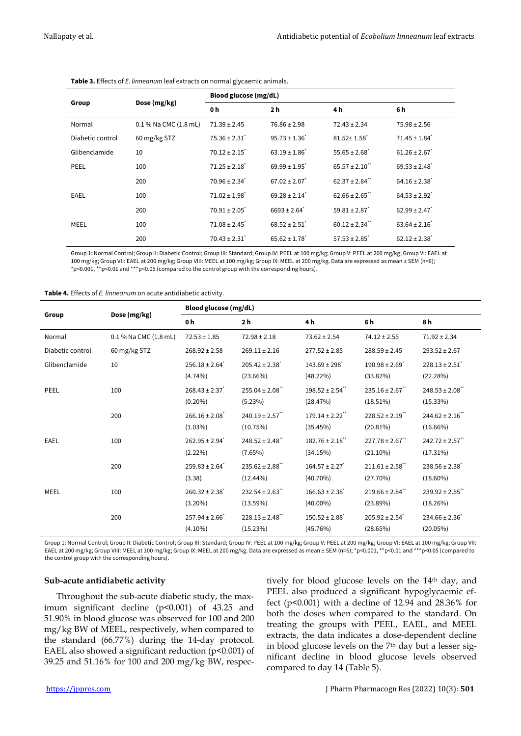|                  |                       | ັ                             |                              |                                |                               |  |  |
|------------------|-----------------------|-------------------------------|------------------------------|--------------------------------|-------------------------------|--|--|
| Group            | Dose (mg/kg)          | Blood glucose (mg/dL)         |                              |                                |                               |  |  |
|                  |                       | 0 h                           | 2 <sub>h</sub>               | 4 h                            | 6 h                           |  |  |
| Normal           | 0.1 % Na CMC (1.8 mL) | $71.39 \pm 2.45$              | $76.86 \pm 2.98$             | $72.43 \pm 2.34$               | $75.98 \pm 2.56$              |  |  |
| Diabetic control | 60 mg/kg STZ          | $75.36 \pm 2.31$              | $95.73 \pm 1.36$             | $81.52 \pm 1.58$               | $71.45 \pm 1.84$ <sup>*</sup> |  |  |
| Glibenclamide    | 10                    | $70.12 \pm 2.15$              | $63.19 \pm 1.86$             | $55.65 \pm 2.68$ <sup>*</sup>  | $61.26 \pm 2.67$              |  |  |
| PEEL             | 100                   | $71.25 \pm 2.18$ <sup>*</sup> | $69.99 \pm 1.95$             | $65.57 \pm 2.10$               | $69.53 \pm 2.48$              |  |  |
|                  | 200                   | $70.96 \pm 2.34$ <sup>*</sup> | $67.02 \pm 2.07$             | $62.37 \pm 2.84$ <sup>**</sup> | $64.16 \pm 2.38$ <sup>*</sup> |  |  |
| EAEL             | 100                   | $71.02 \pm 1.98$ <sup>*</sup> | $69.28 \pm 2.14$             | $62.66 \pm 2.65$               | $64.53 \pm 2.92$ <sup>*</sup> |  |  |
|                  | 200                   | $70.91 \pm 2.05$              | $6693 \pm 2.64$ <sup>*</sup> | $59.81 \pm 2.87$               | $62.99 \pm 2.47$              |  |  |
| MEEL             | 100                   | $71.08 \pm 2.45$              | $68.52 \pm 2.51$             | $60.12 \pm 2.34$ "             | $63.64 \pm 2.16$              |  |  |
|                  | 200                   | $70.43 \pm 2.31$              | $65.62 \pm 1.78$             | $57.53 \pm 2.85$ <sup>*</sup>  | $62.12 \pm 2.38$ <sup>*</sup> |  |  |

**Table 3.** Effects of *E. linneanum* leaf extracts on normal glycaemic animals.

Group 1: Normal Control; Group II: Diabetic Control; Group III: Standard; Group IV: PEEL at 100 mg/kg; Group V: PEEL at 200 mg/kg; Group VI: EAEL at 100 mg/kg; Group VII: EAEL at 200 mg/kg; Group VIII: MEEL at 100 mg/kg; Group IX: MEEL at 200 mg/kg. Data are expressed as mean ± SEM (n=6); \*p<0.001, \*\*p<0.01 and \*\*\*p<0.05 (compared to the control group with the corresponding hours).

| Table 4. Effects of E. linneanum on acute antidiabetic activity. |  |
|------------------------------------------------------------------|--|
|------------------------------------------------------------------|--|

| Group            | Dose (mg/kg)          | <b>Blood glucose (mg/dL)</b>                 |                                               |                                               |                                                |                                                |
|------------------|-----------------------|----------------------------------------------|-----------------------------------------------|-----------------------------------------------|------------------------------------------------|------------------------------------------------|
|                  |                       | 0 h                                          | 2 <sub>h</sub>                                | 4 h                                           | 6 h                                            | 8 h                                            |
| Normal           | 0.1 % Na CMC (1.8 mL) | $72.53 \pm 1.85$                             | $72.98 \pm 2.18$                              | $73.62 \pm 2.54$                              | $74.12 \pm 2.55$                               | $71.92 \pm 2.34$                               |
| Diabetic control | 60 mg/kg STZ          | $268.92 \pm 2.58$                            | $269.11 \pm 2.16$                             | $277.52 \pm 2.85$                             | $288.59 \pm 2.45$                              | $293.52 \pm 2.67$                              |
| Glibenclamide    | 10                    | $256.18 \pm 2.64$ <sup>*</sup><br>$(4.74\%)$ | $205.42 \pm 2.38$ <sup>*</sup><br>$(23.66\%)$ | $143.69 \pm 298$ <sup>*</sup><br>$(48.22\%)$  | $190.98 \pm 2.69$<br>$(33.82\%)$               | $228.13 \pm 2.51$<br>(22.28%)                  |
| <b>PEEL</b>      | 100                   | $268.43 \pm 2.37$<br>$(0.20\%)$              | $255.04 \pm 2.08$ <sup>**</sup><br>(5.23%)    | $198.52 \pm 2.54$ <sup>**</sup><br>(28.47%)   | $235.16 \pm 2.67$ <sup>**</sup><br>(18.51%)    | $248.53 \pm 2.08$ <sup>**</sup><br>$(15.33\%)$ |
|                  | 200                   | $266.16 \pm 2.08$<br>$(1.03\%)$              | $240.19 \pm 2.57$<br>(10.75%)                 | $179.14 \pm 2.22$<br>(35.45%)                 | $228.52 \pm 2.19$ <sup>**</sup><br>(20.81%)    | $244.62 \pm 2.16$<br>$(16.66\%)$               |
| <b>EAEL</b>      | 100                   | $262.95 \pm 2.94$ <sup>*</sup><br>$(2.22\%)$ | $248.52 \pm 2.48$ <sup>**</sup><br>$(7.65\%)$ | $182.76 \pm 2.18$ "<br>(34.15%)               | $227.78 \pm 2.67$ <sup>**</sup><br>$(21.10\%)$ | $242.72 \pm 2.57$<br>(17.31%)                  |
|                  | 200                   | $259.83 \pm 2.64$ <sup>*</sup><br>(3.38)     | $235.62 \pm 2.88$ "<br>$(12.44\%)$            | $164.57 \pm 2.27$<br>$(40.70\%)$              | $211.61 \pm 2.58$<br>(27.70%)                  | $238.56 \pm 2.38$ <sup>*</sup><br>$(18.60\%)$  |
| <b>MEEL</b>      | 100                   | $260.32 \pm 2.38$ <sup>*</sup><br>$(3.20\%)$ | $232.54 \pm 2.63$<br>$(13.59\%)$              | $166.63 \pm 2.38$ <sup>*</sup><br>$(40.00\%)$ | $219.66 \pm 2.84$ <sup>**</sup><br>(23.89%)    | $239.92 \pm 2.55$<br>(18.26%)                  |
|                  | 200                   | $257.94 \pm 2.66$<br>$(4.10\%)$              | $228.13 \pm 2.48$ <sup>**</sup><br>(15.23%)   | $150.52 \pm 2.88$ <sup>*</sup><br>(45.76%)    | $205.92 \pm 2.54$ <sup>*</sup><br>(28.65%)     | $234.66 \pm 2.36$<br>$(20.05\%)$               |

Group 1: Normal Control; Group II: Diabetic Control; Group III: Standard; Group IV: PEEL at 100 mg/kg; Group V: PEEL at 200 mg/kg; Group VI: EAEL at 100 mg/kg; Group VII: EAEL at 200 mg/kg; Group VIII: MEEL at 100 mg/kg; Group IX: MEEL at 200 mg/kg. Data are expressed as mean ± SEM (n=6); \*p<0.001, \*\*p<0.01 and \*\*\*p<0.05 (compared to the control group with the corresponding hours).

#### **Sub-acute antidiabetic activity**

Throughout the sub-acute diabetic study, the maximum significant decline (p<0.001) of 43.25 and 51.90% in blood glucose was observed for 100 and 200 mg/kg BW of MEEL, respectively, when compared to the standard (66.77%) during the 14-day protocol. EAEL also showed a significant reduction  $(p<0.001)$  of 39.25 and 51.16% for 100 and 200 mg/kg BW, respectively for blood glucose levels on the 14<sup>th</sup> day, and PEEL also produced a significant hypoglycaemic effect ( $p<0.001$ ) with a decline of 12.94 and 28.36% for both the doses when compared to the standard. On treating the groups with PEEL, EAEL, and MEEL extracts, the data indicates a dose-dependent decline in blood glucose levels on the 7th day but a lesser significant decline in blood glucose levels observed compared to day 14 (Table 5).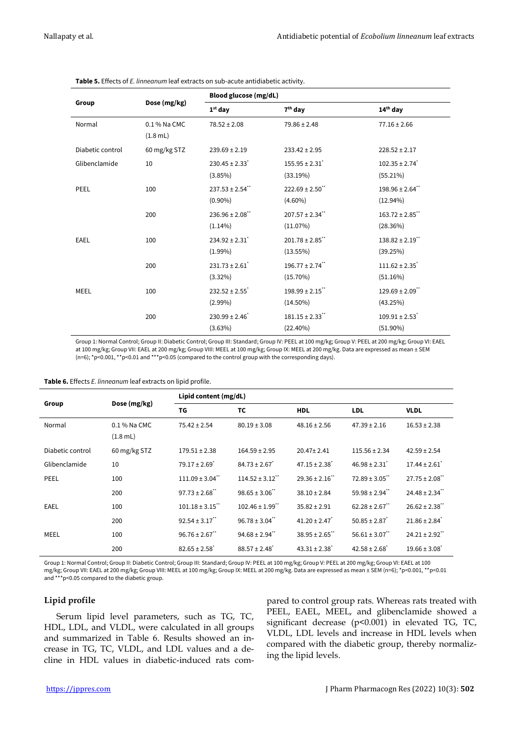|                  |              | <b>Blood glucose (mg/dL)</b>   |                                 |                                 |  |  |
|------------------|--------------|--------------------------------|---------------------------------|---------------------------------|--|--|
| Group            | Dose (mg/kg) |                                |                                 |                                 |  |  |
|                  |              | $1st$ day                      | $7th$ day                       | $14th$ day                      |  |  |
| Normal           | 0.1 % Na CMC | $78.52 \pm 2.08$               | $79.86 \pm 2.48$                | $77.16 \pm 2.66$                |  |  |
|                  | $(1.8$ mL)   |                                |                                 |                                 |  |  |
| Diabetic control | 60 mg/kg STZ | $239.69 \pm 2.19$              | $233.42 \pm 2.95$               | $228.52 \pm 2.17$               |  |  |
| Glibenclamide    | 10           | $230.45 \pm 2.33$ <sup>*</sup> | $155.95 \pm 2.31$               | $102.35 \pm 2.74$ <sup>*</sup>  |  |  |
|                  |              | (3.85%)                        | (33.19%)                        | (55.21%)                        |  |  |
| <b>PEEL</b>      | 100          | $237.53 \pm 2.54$ "            | $222.69 \pm 2.50$ **            | $198.96 \pm 2.64$ <sup>**</sup> |  |  |
|                  |              | $(0.90\%)$                     | $(4.60\%)$                      | $(12.94\%)$                     |  |  |
|                  | 200          | $236.96 \pm 2.08$ **           | $207.57 \pm 2.34$ **            | $163.72 \pm 2.85$ **            |  |  |
|                  |              | $(1.14\%)$                     | (11.07%)                        | (28.36%)                        |  |  |
| <b>EAEL</b>      | 100          | $234.92 \pm 2.31$              | $201.78 \pm 2.85$ **            | $138.82 \pm 2.19$ **            |  |  |
|                  |              | $(1.99\%)$                     | $(13.55\%)$                     | (39.25%)                        |  |  |
|                  | 200          | $231.73 \pm 2.61$              | $196.77 \pm 2.74$ <sup>**</sup> | $111.62 \pm 2.35$               |  |  |
|                  |              | $(3.32\%)$                     | $(15.70\%)$                     | (51.16%)                        |  |  |
| MEEL             | 100          | $232.52 \pm 2.55$ <sup>*</sup> | $198.99 \pm 2.15$ **            | $129.69 \pm 2.09$ <sup>**</sup> |  |  |
|                  |              | $(2.99\%)$                     | $(14.50\%)$                     | (43.25%)                        |  |  |
|                  | 200          | $230.99 \pm 2.46$ <sup>*</sup> | $181.15 \pm 2.33$ "             | $109.91 \pm 2.53$               |  |  |
|                  |              | $(3.63\%)$                     | $(22.40\%)$                     | $(51.90\%)$                     |  |  |

**Table 5.** Effects of *E. linneanum* leaf extracts on sub-acute antidiabetic activity.

Group 1: Normal Control; Group II: Diabetic Control; Group III: Standard; Group IV: PEEL at 100 mg/kg; Group V: PEEL at 200 mg/kg; Group VI: EAEL at 100 mg/kg; Group VII: EAEL at 200 mg/kg; Group VIII: MEEL at 100 mg/kg; Group IX: MEEL at 200 mg/kg. Data are expressed as mean ± SEM (n=6); \*p<0.001, \*\*p<0.01 and \*\*\*p<0.05 (compared to the control group with the corresponding days).

|                  | Dose (mg/kg)                       | Lipid content (mg/dL)           |                                 |                               |                                |                                |
|------------------|------------------------------------|---------------------------------|---------------------------------|-------------------------------|--------------------------------|--------------------------------|
| Group            |                                    | TG                              | ТC                              | <b>HDL</b>                    | <b>LDL</b>                     | <b>VLDL</b>                    |
| Normal           | 0.1 % Na CMC<br>$(1.8 \text{ mL})$ | $75.42 \pm 2.54$                | $80.19 \pm 3.08$                | $48.16 \pm 2.56$              | $47.39 \pm 2.16$               | $16.53 \pm 2.38$               |
| Diabetic control | 60 mg/kg STZ                       | $179.51 \pm 2.38$               | $164.59 \pm 2.95$               | $20.47 \pm 2.41$              | $115.56 \pm 2.34$              | $42.59 \pm 2.54$               |
| Glibenclamide    | 10                                 | $79.17 \pm 2.69$ <sup>*</sup>   | $84.73 \pm 2.67$                | $47.15 \pm 2.38$ <sup>*</sup> | $46.98 \pm 2.31$               | $17.44 \pm 2.61$               |
| PEEL             | 100                                | $111.09 \pm 3.04$ <sup>**</sup> | $114.52 \pm 3.12$               | $29.36 \pm 2.16$              | $72.89 \pm 3.05$ **            | $27.75 \pm 2.08$               |
|                  | 200                                | $97.73 \pm 2.68$ <sup>**</sup>  | $98.65 \pm 3.06$ <sup>**</sup>  | $38.10 \pm 2.84$              | $59.98 \pm 2.94$ <sup>**</sup> | $24.48 \pm 2.34$ <sup>**</sup> |
| EAEL             | 100                                | $101.18 \pm 3.15$ **            | $102.46 \pm 1.99$ <sup>**</sup> | $35.82 \pm 2.91$              | $62.28 \pm 2.67$ <sup>**</sup> | $26.62 \pm 2.38$               |
|                  | 200                                | $92.54 \pm 3.17$                | $96.78 \pm 3.04$ <sup>**</sup>  | $41.20 \pm 2.47$              | $50.85 \pm 2.87$               | $21.86 \pm 2.84$ <sup>*</sup>  |
| MEEL             | 100                                | $96.76 \pm 2.67$                | $94.68 \pm 2.94$ <sup>**</sup>  | $38.95 \pm 2.65$              | $56.61 \pm 3.07$ <sup>**</sup> | $24.21 \pm 2.92$               |
|                  | 200                                | $82.65 \pm 2.58$                | $88.57 \pm 2.48$ <sup>*</sup>   | $43.31 \pm 2.38$ <sup>*</sup> | $42.58 \pm 2.68$ <sup>*</sup>  | $19.66 \pm 3.08$ <sup>*</sup>  |

Group 1: Normal Control; Group II: Diabetic Control; Group III: Standard; Group IV: PEEL at 100 mg/kg; Group V: PEEL at 200 mg/kg; Group VI: EAEL at 100 mg/kg; Group VII: EAEL at 200 mg/kg; Group VIII: MEEL at 100 mg/kg; Group IX: MEEL at 200 mg/kg. Data are expressed as mean ± SEM (n=6); \*p<0.001, \*\*p<0.01 and \*\*\*p<0.05 compared to the diabetic group.

# **Lipid profile**

Serum lipid level parameters, such as TG, TC, HDL, LDL, and VLDL, were calculated in all groups and summarized in Table 6. Results showed an increase in TG, TC, VLDL, and LDL values and a decline in HDL values in diabetic-induced rats compared to control group rats. Whereas rats treated with PEEL, EAEL, MEEL, and glibenclamide showed a significant decrease (p<0.001) in elevated TG, TC, VLDL, LDL levels and increase in HDL levels when compared with the diabetic group, thereby normalizing the lipid levels.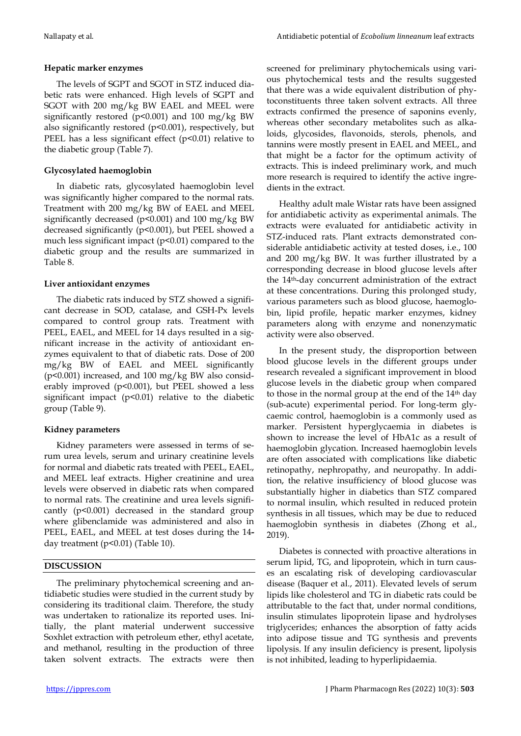## **Hepatic marker enzymes**

The levels of SGPT and SGOT in STZ induced diabetic rats were enhanced. High levels of SGPT and SGOT with 200 mg/kg BW EAEL and MEEL were significantly restored ( $p$ <0.001) and 100 mg/kg BW also significantly restored (p<0.001), respectively, but PEEL has a less significant effect  $(p<0.01)$  relative to the diabetic group (Table 7).

## **Glycosylated haemoglobin**

In diabetic rats, glycosylated haemoglobin level was significantly higher compared to the normal rats. Treatment with 200 mg/kg BW of EAEL and MEEL significantly decreased (p<0.001) and 100 mg/kg BW decreased significantly (p<0.001), but PEEL showed a much less significant impact  $(p<0.01)$  compared to the diabetic group and the results are summarized in Table 8.

# **Liver antioxidant enzymes**

The diabetic rats induced by STZ showed a significant decrease in SOD, catalase, and GSH-Px levels compared to control group rats. Treatment with PEEL, EAEL, and MEEL for 14 days resulted in a significant increase in the activity of antioxidant enzymes equivalent to that of diabetic rats. Dose of 200 mg/kg BW of EAEL and MEEL significantly (p<0.001) increased, and 100 mg/kg BW also considerably improved (p<0.001), but PEEL showed a less significant impact  $(p<0.01)$  relative to the diabetic group (Table 9).

# **Kidney parameters**

Kidney parameters were assessed in terms of serum urea levels, serum and urinary creatinine levels for normal and diabetic rats treated with PEEL, EAEL, and MEEL leaf extracts. Higher creatinine and urea levels were observed in diabetic rats when compared to normal rats. The creatinine and urea levels significantly (p<0.001) decreased in the standard group where glibenclamide was administered and also in PEEL, EAEL, and MEEL at test doses during the 14 day treatment (p<0.01) (Table 10).

#### **DISCUSSION**

The preliminary phytochemical screening and antidiabetic studies were studied in the current study by considering its traditional claim. Therefore, the study was undertaken to rationalize its reported uses. Initially, the plant material underwent successive Soxhlet extraction with petroleum ether, ethyl acetate, and methanol, resulting in the production of three taken solvent extracts. The extracts were then screened for preliminary phytochemicals using various phytochemical tests and the results suggested that there was a wide equivalent distribution of phytoconstituents three taken solvent extracts. All three extracts confirmed the presence of saponins evenly, whereas other secondary metabolites such as alkaloids, glycosides, flavonoids, sterols, phenols, and tannins were mostly present in EAEL and MEEL, and that might be a factor for the optimum activity of extracts. This is indeed preliminary work, and much more research is required to identify the active ingredients in the extract.

Healthy adult male Wistar rats have been assigned for antidiabetic activity as experimental animals. The extracts were evaluated for antidiabetic activity in STZ-induced rats. Plant extracts demonstrated considerable antidiabetic activity at tested doses, i.e., 100 and 200 mg/kg BW. It was further illustrated by a corresponding decrease in blood glucose levels after the 14th-day concurrent administration of the extract at these concentrations. During this prolonged study, various parameters such as blood glucose, haemoglobin, lipid profile, hepatic marker enzymes, kidney parameters along with enzyme and nonenzymatic activity were also observed.

In the present study, the disproportion between blood glucose levels in the different groups under research revealed a significant improvement in blood glucose levels in the diabetic group when compared to those in the normal group at the end of the 14th day (sub-acute) experimental period. For long-term glycaemic control, haemoglobin is a commonly used as marker. Persistent hyperglycaemia in diabetes is shown to increase the level of HbA1c as a result of haemoglobin glycation. Increased haemoglobin levels are often associated with complications like diabetic retinopathy, nephropathy, and neuropathy. In addition, the relative insufficiency of blood glucose was substantially higher in diabetics than STZ compared to normal insulin, which resulted in reduced protein synthesis in all tissues, which may be due to reduced haemoglobin synthesis in diabetes (Zhong et al., 2019).

Diabetes is connected with proactive alterations in serum lipid, TG, and lipoprotein, which in turn causes an escalating risk of developing cardiovascular disease (Baquer et al., 2011). Elevated levels of serum lipids like cholesterol and TG in diabetic rats could be attributable to the fact that, under normal conditions, insulin stimulates lipoprotein lipase and hydrolyses triglycerides; enhances the absorption of fatty acids into adipose tissue and TG synthesis and prevents lipolysis. If any insulin deficiency is present, lipolysis is not inhibited, leading to hyperlipidaemia.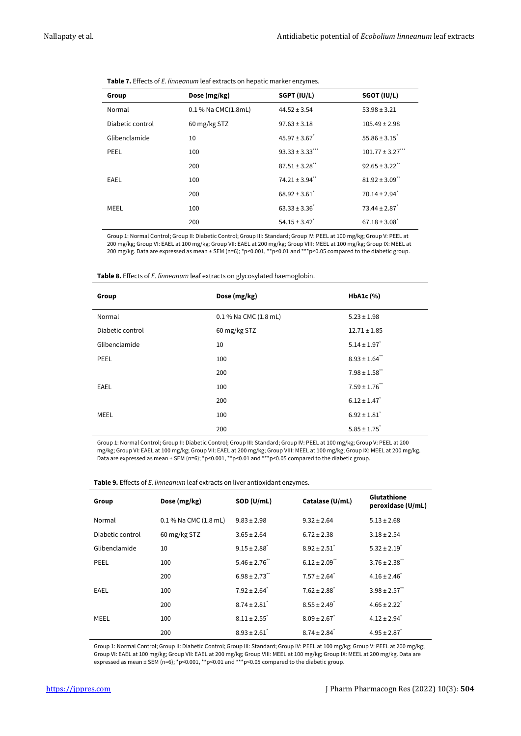| Group            | Dose (mg/kg)              | SGPT (IU/L)                     | SGOT (IU/L)                   |
|------------------|---------------------------|---------------------------------|-------------------------------|
| Normal           | $0.1\%$ Na CMC $(1.8$ mL) | $44.52 \pm 3.54$                | $53.98 \pm 3.21$              |
| Diabetic control | 60 mg/kg STZ              | $97.63 \pm 3.18$                | $105.49 \pm 2.98$             |
| Glibenclamide    | 10                        | $45.97 \pm 3.67$                | $55.86 \pm 3.15$              |
| <b>PEEL</b>      | 100                       | $93.33 \pm 3.33$ <sup>***</sup> | $101.77 \pm 3.27$ ***         |
|                  | 200                       | $87.51 \pm 3.28$                | $92.65 \pm 3.22$              |
| EAEL             | 100                       | $74.21 \pm 3.94$ "              | $81.92 \pm 3.09$ "            |
|                  | 200                       | $68.92 \pm 3.61$                | $70.14 \pm 2.94$ <sup>*</sup> |
| MEEL             | 100                       | $63.33 \pm 3.36$                | $73.44 \pm 2.87$              |
|                  | 200                       | $54.15 \pm 3.42$ <sup>*</sup>   | $67.18 \pm 3.08$ <sup>*</sup> |

Group 1: Normal Control; Group II: Diabetic Control; Group III: Standard; Group IV: PEEL at 100 mg/kg; Group V: PEEL at 200 mg/kg; Group VI: EAEL at 100 mg/kg; Group VII: EAEL at 200 mg/kg; Group VIII: MEEL at 100 mg/kg; Group IX: MEEL at 200 mg/kg. Data are expressed as mean ± SEM (n=6); \*p<0.001, \*\*p<0.01 and \*\*\*p<0.05 compared to the diabetic group.

**Table 8.** Effects of *E. linneanum* leaf extracts on glycosylated haemoglobin.

| Group            | Dose (mg/kg)          | HbA1c (%)                     |
|------------------|-----------------------|-------------------------------|
| Normal           | 0.1 % Na CMC (1.8 mL) | $5.23 \pm 1.98$               |
| Diabetic control | 60 mg/kg STZ          | $12.71 \pm 1.85$              |
| Glibenclamide    | 10                    | $5.14 \pm 1.97$               |
| <b>PEEL</b>      | 100                   | $8.93 \pm 1.64$ "             |
|                  | 200                   | $7.98 \pm 1.58$ **            |
| EAEL             | 100                   | $7.59 \pm 1.76$ <sup>**</sup> |
|                  | 200                   | $6.12 \pm 1.47$               |
| MEEL             | 100                   | $6.92 \pm 1.81$ <sup>*</sup>  |
|                  | 200                   | $5.85 \pm 1.75$               |

Group 1: Normal Control; Group II: Diabetic Control; Group III: Standard; Group IV: PEEL at 100 mg/kg; Group V: PEEL at 200 mg/kg; Group VI: EAEL at 100 mg/kg; Group VII: EAEL at 200 mg/kg; Group VIII: MEEL at 100 mg/kg; Group IX: MEEL at 200 mg/kg. Data are expressed as mean ± SEM (n=6); \*p<0.001, \*\*p<0.01 and \*\*\*p<0.05 compared to the diabetic group.

| Group            | Dose (mg/kg)          | SOD (U/mL)                   | Catalase (U/mL)               | Glutathione<br>peroxidase (U/mL) |
|------------------|-----------------------|------------------------------|-------------------------------|----------------------------------|
| Normal           | 0.1 % Na CMC (1.8 mL) | $9.83 \pm 2.98$              | $9.32 \pm 2.64$               | $5.13 \pm 2.68$                  |
| Diabetic control | 60 mg/kg STZ          | $3.65 \pm 2.64$              | $6.72 \pm 2.38$               | $3.18 \pm 2.54$                  |
| Glibenclamide    | 10                    | $9.15 \pm 2.88$ <sup>*</sup> | $8.92 \pm 2.51$               | $5.32 \pm 2.19$ <sup>*</sup>     |
| PEEL             | 100                   | $5.46 \pm 2.76$ **           | $6.12 \pm 2.09$ <sup>**</sup> | $3.76 \pm 2.38$ **               |
|                  | 200                   | $6.98 \pm 2.73$              | $7.57 \pm 2.64$ <sup>*</sup>  | $4.16 \pm 2.46$ <sup>*</sup>     |
| <b>EAEL</b>      | 100                   | $7.92 \pm 2.64$ <sup>*</sup> | $7.62 \pm 2.88$ <sup>*</sup>  | $3.98 \pm 2.57$                  |
|                  | 200                   | $8.74 \pm 2.81$              | $8.55 \pm 2.49$ <sup>*</sup>  | $4.66 \pm 2.22$ <sup>*</sup>     |
| MEEL             | 100                   | $8.11 \pm 2.55$ <sup>*</sup> | $8.09 \pm 2.67$               | $4.12 \pm 2.94$ <sup>*</sup>     |
|                  | 200                   | $8.93 \pm 2.61$              | $8.74 \pm 2.84$ <sup>*</sup>  | $4.95 \pm 2.87$                  |

**Table 9.** Effects of *E. linneanum* leaf extracts on liver antioxidant enzymes.

Group 1: Normal Control; Group II: Diabetic Control; Group III: Standard; Group IV: PEEL at 100 mg/kg; Group V: PEEL at 200 mg/kg; Group VI: EAEL at 100 mg/kg; Group VII: EAEL at 200 mg/kg; Group VIII: MEEL at 100 mg/kg; Group IX: MEEL at 200 mg/kg. Data are expressed as mean ± SEM (n=6); \*p<0.001, \*\*p<0.01 and \*\*\*p<0.05 compared to the diabetic group.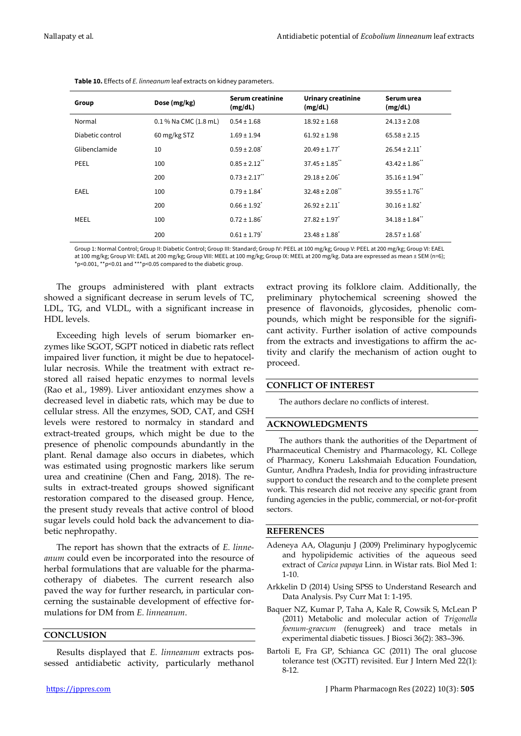| Group            | Dose (mg/kg)              | Serum creatinine<br>(mg/dL)  | Urinary creatinine<br>(mg/dL)  | Serum urea<br>(mg/dL)          |
|------------------|---------------------------|------------------------------|--------------------------------|--------------------------------|
| Normal           | $0.1\%$ Na CMC $(1.8$ mL) | $0.54 \pm 1.68$              | $18.92 \pm 1.68$               | $24.13 \pm 2.08$               |
| Diabetic control | 60 mg/kg STZ              | $1.69 \pm 1.94$              | $61.92 \pm 1.98$               | $65.58 \pm 2.15$               |
| Glibenclamide    | 10                        | $0.59 \pm 2.08$ <sup>*</sup> | $20.49 \pm 1.77$ <sup>*</sup>  | $26.54 \pm 2.11$               |
| PEEL             | 100                       | $0.85 \pm 2.12$              | $37.45 \pm 1.85$               | $43.42 \pm 1.86$ <sup>**</sup> |
|                  | 200                       | $0.73 \pm 2.17$              | $29.18 \pm 2.06$ <sup>*</sup>  | $35.16 \pm 1.94$ <sup>**</sup> |
| <b>EAEL</b>      | 100                       | $0.79 \pm 1.84$ <sup>*</sup> | $32.48 \pm 2.08$ <sup>**</sup> | $39.55 \pm 1.76$ "             |
|                  | 200                       | $0.66 \pm 1.92$ <sup>*</sup> | $26.92 \pm 2.11$               | $30.16 \pm 1.82$ <sup>*</sup>  |
| MEEL             | 100                       | $0.72 \pm 1.86$ <sup>*</sup> | $27.82 \pm 1.97$ <sup>*</sup>  | $34.18 \pm 1.84$ <sup>**</sup> |
|                  | 200                       | $0.61 \pm 1.79$ <sup>*</sup> | $23.48 \pm 1.88$ <sup>*</sup>  | $28.57 \pm 1.68$ <sup>*</sup>  |

**Table 10.** Effects of *E. linneanum* leaf extracts on kidney parameters.

Group 1: Normal Control; Group II: Diabetic Control; Group III: Standard; Group IV: PEEL at 100 mg/kg; Group V: PEEL at 200 mg/kg; Group VI: EAEL at 100 mg/kg; Group VII: EAEL at 200 mg/kg; Group VIII: MEEL at 100 mg/kg; Group IX: MEEL at 200 mg/kg. Data are expressed as mean ± SEM (n=6); \*p<0.001, \*\*p<0.01 and \*\*\*p<0.05 compared to the diabetic group.

The groups administered with plant extracts showed a significant decrease in serum levels of TC, LDL, TG, and VLDL, with a significant increase in HDL levels.

Exceeding high levels of serum biomarker enzymes like SGOT, SGPT noticed in diabetic rats reflect impaired liver function, it might be due to hepatocellular necrosis. While the treatment with extract restored all raised hepatic enzymes to normal levels (Rao et al., 1989). Liver antioxidant enzymes show a decreased level in diabetic rats, which may be due to cellular stress. All the enzymes, SOD, CAT, and GSH levels were restored to normalcy in standard and extract-treated groups, which might be due to the presence of phenolic compounds abundantly in the plant. Renal damage also occurs in diabetes, which was estimated using prognostic markers like serum urea and creatinine (Chen and Fang, 2018). The results in extract-treated groups showed significant restoration compared to the diseased group. Hence, the present study reveals that active control of blood sugar levels could hold back the advancement to diabetic nephropathy.

The report has shown that the extracts of *E. linneanum* could even be incorporated into the resource of herbal formulations that are valuable for the pharmacotherapy of diabetes. The current research also paved the way for further research, in particular concerning the sustainable development of effective formulations for DM from *E. linneanum*.

# **CONCLUSION**

Results displayed that *E. linneanum* extracts possessed antidiabetic activity, particularly methanol

extract proving its folklore claim. Additionally, the preliminary phytochemical screening showed the presence of flavonoids, glycosides, phenolic compounds, which might be responsible for the significant activity. Further isolation of active compounds from the extracts and investigations to affirm the activity and clarify the mechanism of action ought to proceed.

#### **CONFLICT OF INTEREST**

The authors declare no conflicts of interest.

# **ACKNOWLEDGMENTS**

The authors thank the authorities of the Department of Pharmaceutical Chemistry and Pharmacology, KL College of Pharmacy, Koneru Lakshmaiah Education Foundation, Guntur, Andhra Pradesh, India for providing infrastructure support to conduct the research and to the complete present work. This research did not receive any specific grant from funding agencies in the public, commercial, or not-for-profit sectors.

#### **REFERENCES**

- Adeneya AA, Olagunju J (2009) Preliminary hypoglycemic and hypolipidemic activities of the aqueous seed extract of *Carica papaya* Linn. in Wistar rats. Biol Med 1: 1-10.
- Arkkelin D (2014) Using SPSS to Understand Research and Data Analysis. Psy Curr Mat 1: 1-195.
- Baquer NZ, Kumar P, Taha A, Kale R, Cowsik S, McLean P (2011) Metabolic and molecular action of *Trigonella foenum-graecum* (fenugreek) and trace metals in experimental diabetic tissues. J Biosci 36(2): 383–396.
- Bartoli E, Fra GP, Schianca GC (2011) The oral glucose tolerance test (OGTT) revisited. Eur J Intern Med 22(1): 8-12.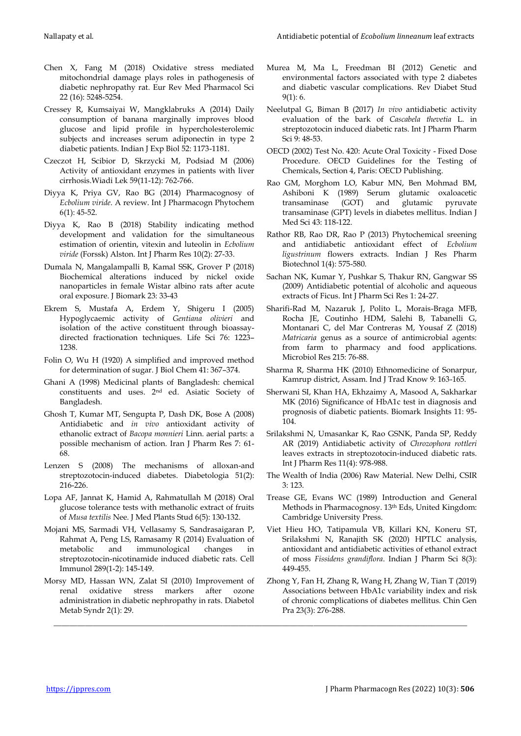- Chen X, Fang M (2018) Oxidative stress mediated mitochondrial damage plays roles in pathogenesis of diabetic nephropathy rat. Eur Rev Med Pharmacol Sci 22 (16): 5248-5254.
- Cressey R, Kumsaiyai W, Mangklabruks A (2014) Daily consumption of banana marginally improves blood glucose and lipid profile in hypercholesterolemic subjects and increases serum adiponectin in type 2 diabetic patients. Indian J Exp Biol 52: 1173-1181.
- Czeczot H, Scibior D, Skrzycki M, Podsiad M (2006) Activity of antioxidant enzymes in patients with liver cirrhosis.Wiadi Lek 59(11-12): 762-766.
- Diyya K, Priya GV, Rao BG (2014) Pharmacognosy of *Ecbolium viride*. A review. Int J Pharmacogn Phytochem 6(1): 45-52.
- Diyya K, Rao B (2018) Stability indicating method development and validation for the simultaneous estimation of orientin, vitexin and luteolin in *Ecbolium viride* (Forssk) Alston. Int J Pharm Res 10(2): 27-33.
- Dumala N, Mangalampalli B, Kamal SSK, Grover P (2018) Biochemical alterations induced by nickel oxide nanoparticles in female Wistar albino rats after acute oral exposure. J Biomark 23: 33-43
- Ekrem S, Mustafa A, Erdem Y, Shigeru I (2005) Hypoglycaemic activity of *Gentiana olivieri* and isolation of the active constituent through bioassaydirected fractionation techniques. Life Sci 76: 1223– 1238.
- Folin O, Wu H (1920) A simplified and improved method for determination of sugar. J Biol Chem 41: 367–374.
- Ghani A (1998) Medicinal plants of Bangladesh: chemical constituents and uses. 2nd ed. Asiatic Society of Bangladesh.
- Ghosh T, Kumar MT, Sengupta P, Dash DK, Bose A (2008) Antidiabetic and *in vivo* antioxidant activity of ethanolic extract of *Bacopa monnieri* Linn. aerial parts: a possible mechanism of action. Iran J Pharm Res 7: 61- 68.
- Lenzen S (2008) The mechanisms of alloxan-and streptozotocin-induced diabetes. Diabetologia 51(2): 216-226.
- Lopa AF, Jannat K, Hamid A, Rahmatullah M (2018) Oral glucose tolerance tests with methanolic extract of fruits of *Musa textilis* Nee. J Med Plants Stud 6(5): 130-132.
- Mojani MS, Sarmadi VH, Vellasamy S, Sandrasaigaran P, Rahmat A, Peng LS, Ramasamy R (2014) Evaluation of metabolic and immunological changes in streptozotocin-nicotinamide induced diabetic rats. Cell Immunol 289(1-2): 145-149.
- Morsy MD, Hassan WN, Zalat SI (2010) Improvement of renal oxidative stress markers after ozone administration in diabetic nephropathy in rats. Diabetol Metab Syndr 2(1): 29.

\_\_\_\_\_\_\_\_\_\_\_\_\_\_\_\_\_\_\_\_\_\_\_\_\_\_\_\_\_\_\_\_\_\_\_\_\_\_\_\_\_\_\_\_\_\_\_\_\_\_\_\_\_\_\_\_\_\_\_\_\_\_\_\_\_\_\_\_\_\_\_\_\_\_\_\_\_\_\_\_\_\_\_\_\_\_\_\_\_\_\_\_\_\_\_\_\_\_\_\_\_\_\_\_\_

- Murea M, Ma L, Freedman BI (2012) Genetic and environmental factors associated with type 2 diabetes and diabetic vascular complications. Rev Diabet Stud  $9(1): 6.$
- Neelutpal G, Biman B (2017) *In vivo* antidiabetic activity evaluation of the bark of *Cascabela thevetia* L. in streptozotocin induced diabetic rats. Int J Pharm Pharm Sci 9: 48-53.
- OECD (2002) Test No. 420: Acute Oral Toxicity Fixed Dose Procedure. OECD Guidelines for the Testing of Chemicals, Section 4, Paris: OECD Publishing.
- Rao GM, Morghom LO, Kabur MN, Ben Mohmad BM, Ashiboni K (1989) Serum glutamic oxaloacetic transaminase (GOT) and glutamic pyruvate transaminase (GPT) levels in diabetes mellitus. Indian J Med Sci 43: 118-122.
- Rathor RB, Rao DR, Rao P (2013) Phytochemical sreening and antidiabetic antioxidant effect of *Ecbolium ligustrinum* flowers extracts. Indian J Res Pharm Biotechnol 1(4): 575-580.
- Sachan NK, Kumar Y, Pushkar S, Thakur RN, Gangwar SS (2009) Antidiabetic potential of alcoholic and aqueous extracts of Ficus. Int J Pharm Sci Res 1: 24-27.
- Sharifi-Rad M, Nazaruk J, Polito L, Morais-Braga MFB, Rocha JE, Coutinho HDM, Salehi B, Tabanelli G, Montanari C, del Mar Contreras M, Yousaf Z (2018) *Matricaria* genus as a source of antimicrobial agents: from farm to pharmacy and food applications. Microbiol Res 215: 76-88.
- Sharma R, Sharma HK (2010) Ethnomedicine of Sonarpur, Kamrup district, Assam. Ind J Trad Know 9: 163-165.
- Sherwani SI, Khan HA, Ekhzaimy A, Masood A, Sakharkar MK (2016) Significance of HbA1c test in diagnosis and prognosis of diabetic patients. Biomark Insights 11: 95- 104.
- Srilakshmi N, Umasankar K, Rao GSNK, Panda SP, Reddy AR (2019) Antidiabetic activity of *Chrozophora rottleri* leaves extracts in streptozotocin-induced diabetic rats. Int J Pharm Res 11(4): 978-988.
- The Wealth of India (2006) Raw Material. New Delhi, CSIR  $3.123$
- Trease GE, Evans WC (1989) Introduction and General Methods in Pharmacognosy. 13th Eds, United Kingdom: Cambridge University Press.
- Viet Hieu HO, Tatipamula VB, Killari KN, Koneru ST, Srilakshmi N, Ranajith SK (2020) HPTLC analysis, antioxidant and antidiabetic activities of ethanol extract of moss *Fissidens grandiflora*. Indian J Pharm Sci 8(3): 449-455.
- Zhong Y, Fan H, Zhang R, Wang H, Zhang W, Tian T (2019) Associations between HbA1c variability index and risk of chronic complications of diabetes mellitus. Chin Gen Pra 23(3): 276-288.